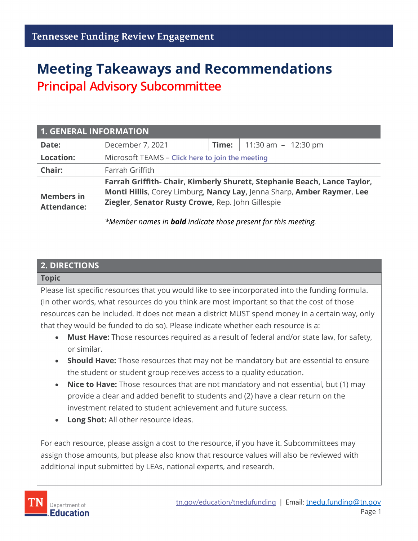# **Meeting Takeaways and Recommendations Principal Advisory Subcommittee**

| <b>1. GENERAL INFORMATION</b>           |                                                                                                                                                                                                                                                                                  |       |                       |  |
|-----------------------------------------|----------------------------------------------------------------------------------------------------------------------------------------------------------------------------------------------------------------------------------------------------------------------------------|-------|-----------------------|--|
| Date:                                   | December 7, 2021                                                                                                                                                                                                                                                                 | Time: | 11:30 am $-$ 12:30 pm |  |
| <b>Location:</b>                        | Microsoft TEAMS - Click here to join the meeting                                                                                                                                                                                                                                 |       |                       |  |
| Chair:                                  | Farrah Griffith                                                                                                                                                                                                                                                                  |       |                       |  |
| <b>Members in</b><br><b>Attendance:</b> | Farrah Griffith- Chair, Kimberly Shurett, Stephanie Beach, Lance Taylor,<br>Monti Hillis, Corey Limburg, Nancy Lay, Jenna Sharp, Amber Raymer, Lee<br>Ziegler, Senator Rusty Crowe, Rep. John Gillespie<br>*Member names in <b>bold</b> indicate those present for this meeting. |       |                       |  |

## **2. DIRECTIONS**

## **Topic** Please list specific resources that you would like to see incorporated into the funding formula. (In other words, what resources do you think are most important so that the cost of those resources can be included. It does not mean a district MUST spend money in a certain way, only that they would be funded to do so). Please indicate whether each resource is a:

- **Must Have:** Those resources required as a result of federal and/or state law, for safety, or similar.
- **Should Have:** Those resources that may not be mandatory but are essential to ensure the student or student group receives access to a quality education.
- **Nice to Have:** Those resources that are not mandatory and not essential, but (1) may provide a clear and added benefit to students and (2) have a clear return on the investment related to student achievement and future success.
- **Long Shot:** All other resource ideas.

For each resource, please assign a cost to the resource, if you have it. Subcommittees may assign those amounts, but please also know that resource values will also be reviewed with additional input submitted by LEAs, national experts, and research.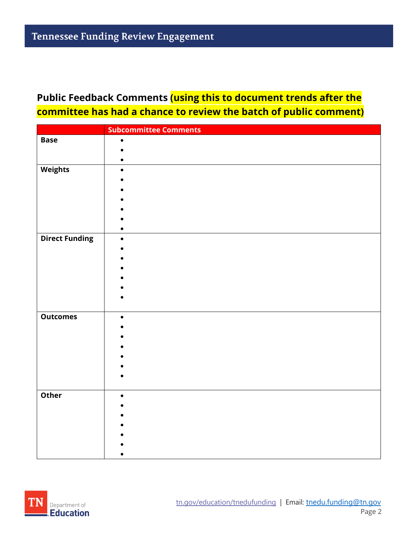## **Public Feedback Comments (using this to document trends after the committee has had a chance to review the batch of public comment)**

|                       | <b>Subcommittee Comments</b> |
|-----------------------|------------------------------|
| <b>Base</b>           | ٠                            |
|                       |                              |
|                       |                              |
| <b>Weights</b>        | $\bullet$                    |
|                       |                              |
|                       |                              |
|                       |                              |
|                       |                              |
|                       |                              |
|                       |                              |
| <b>Direct Funding</b> | $\bullet$                    |
|                       |                              |
|                       |                              |
|                       |                              |
|                       |                              |
|                       |                              |
|                       |                              |
|                       |                              |
| <b>Outcomes</b>       | $\bullet$                    |
|                       |                              |
|                       |                              |
|                       |                              |
|                       |                              |
|                       |                              |
|                       |                              |
|                       |                              |
|                       |                              |
|                       |                              |
|                       |                              |
|                       |                              |
|                       |                              |
|                       |                              |
| Other                 |                              |

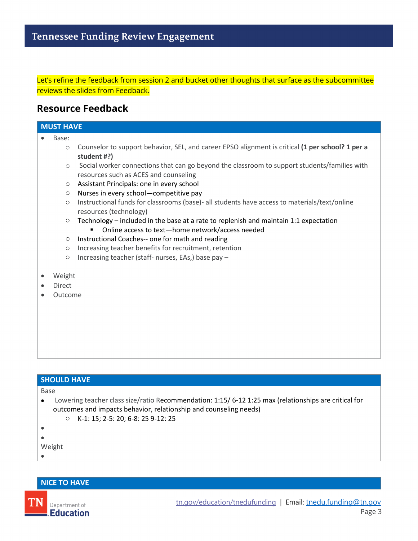Let's refine the feedback from session 2 and bucket other thoughts that surface as the subcommittee reviews the slides from Feedback.

## **Resource Feedback**

#### **MUST HAVE**

- Base:
	- o Counselor to support behavior, SEL, and career EPSO alignment is critical **(1 per school? 1 per a student #?)**
	- $\circ$  Social worker connections that can go beyond the classroom to support students/families with resources such as ACES and counseling
	- o Assistant Principals: one in every school
	- o Nurses in every school—competitive pay
	- o Instructional funds for classrooms (base)- all students have access to materials/text/online resources (technology)
	- $\circ$  Technology included in the base at a rate to replenish and maintain 1:1 expectation
		- Online access to text-home network/access needed
	- o Instructional Coaches-- one for math and reading
	- o Increasing teacher benefits for recruitment, retention
	- o Increasing teacher (staff- nurses, EAs,) base pay –
- Weight
- Direct
- Outcome

## **SHOULD HAVE** Base • Lowering teacher class size/ratio Recommendation: 1:15/ 6-12 1:25 max (relationships are critical for outcomes and impacts behavior, relationship and counseling needs) o K-1: 15; 2-5: 20; 6-8: 25 9-12: 25 • • Weight •

#### **NICE TO HAVE**